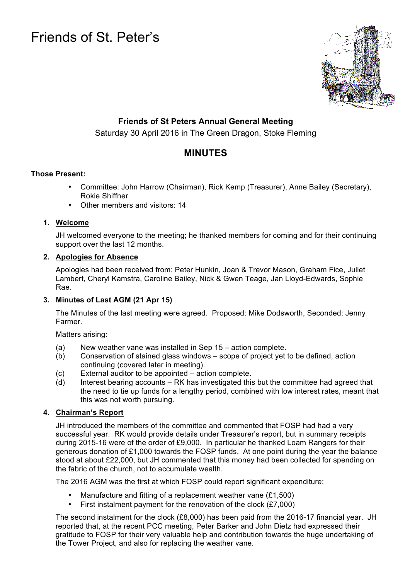# Friends of St. Peter's



# **Friends of St Peters Annual General Meeting**

Saturday 30 April 2016 in The Green Dragon, Stoke Fleming

# **MINUTES**

# **Those Present:**

- Committee: John Harrow (Chairman), Rick Kemp (Treasurer), Anne Bailey (Secretary), Rokie Shiffner
- Other members and visitors: 14

#### **1. Welcome**

JH welcomed everyone to the meeting; he thanked members for coming and for their continuing support over the last 12 months.

# **2. Apologies for Absence**

Apologies had been received from: Peter Hunkin, Joan & Trevor Mason, Graham Fice, Juliet Lambert, Cheryl Kamstra, Caroline Bailey, Nick & Gwen Teage, Jan Lloyd-Edwards, Sophie Rae.

# **3. Minutes of Last AGM (21 Apr 15)**

The Minutes of the last meeting were agreed. Proposed: Mike Dodsworth, Seconded: Jenny Farmer.

Matters arising:

- (a) New weather vane was installed in Sep 15 action complete.
- (b) Conservation of stained glass windows scope of project yet to be defined, action continuing (covered later in meeting).
- (c) External auditor to be appointed action complete.
- $\overline{a}$  Interest bearing accounts RK has investigated this but the committee had agreed that the need to tie up funds for a lengthy period, combined with low interest rates, meant that this was not worth pursuing.

# **4. Chairman's Report**

JH introduced the members of the committee and commented that FOSP had had a very successful year. RK would provide details under Treasurer's report, but in summary receipts during 2015-16 were of the order of £9,000. In particular he thanked Loam Rangers for their generous donation of £1,000 towards the FOSP funds. At one point during the year the balance stood at about £22,000, but JH commented that this money had been collected for spending on the fabric of the church, not to accumulate wealth.

The 2016 AGM was the first at which FOSP could report significant expenditure:

- Manufacture and fitting of a replacement weather vane (£1,500)
- First instalment payment for the renovation of the clock (£7,000)

The second instalment for the clock (£8,000) has been paid from the 2016-17 financial year. JH reported that, at the recent PCC meeting, Peter Barker and John Dietz had expressed their gratitude to FOSP for their very valuable help and contribution towards the huge undertaking of the Tower Project, and also for replacing the weather vane.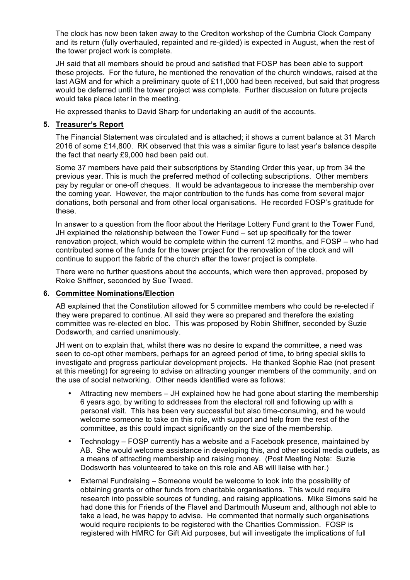The clock has now been taken away to the Crediton workshop of the Cumbria Clock Company and its return (fully overhauled, repainted and re-gilded) is expected in August, when the rest of the tower project work is complete.

JH said that all members should be proud and satisfied that FOSP has been able to support these projects. For the future, he mentioned the renovation of the church windows, raised at the last AGM and for which a preliminary quote of £11,000 had been received, but said that progress would be deferred until the tower project was complete. Further discussion on future projects would take place later in the meeting.

He expressed thanks to David Sharp for undertaking an audit of the accounts.

#### **5. Treasurer's Report**

The Financial Statement was circulated and is attached; it shows a current balance at 31 March 2016 of some £14,800. RK observed that this was a similar figure to last year's balance despite the fact that nearly £9,000 had been paid out.

Some 37 members have paid their subscriptions by Standing Order this year, up from 34 the previous year. This is much the preferred method of collecting subscriptions. Other members pay by regular or one-off cheques. It would be advantageous to increase the membership over the coming year. However, the major contribution to the funds has come from several major donations, both personal and from other local organisations. He recorded FOSP's gratitude for these.

In answer to a question from the floor about the Heritage Lottery Fund grant to the Tower Fund, JH explained the relationship between the Tower Fund – set up specifically for the tower renovation project, which would be complete within the current 12 months, and FOSP – who had contributed some of the funds for the tower project for the renovation of the clock and will continue to support the fabric of the church after the tower project is complete.

There were no further questions about the accounts, which were then approved, proposed by Rokie Shiffner, seconded by Sue Tweed.

#### **6. Committee Nominations/Election**

AB explained that the Constitution allowed for 5 committee members who could be re-elected if they were prepared to continue. All said they were so prepared and therefore the existing committee was re-elected en bloc. This was proposed by Robin Shiffner, seconded by Suzie Dodsworth, and carried unanimously.

JH went on to explain that, whilst there was no desire to expand the committee, a need was seen to co-opt other members, perhaps for an agreed period of time, to bring special skills to investigate and progress particular development projects. He thanked Sophie Rae (not present at this meeting) for agreeing to advise on attracting younger members of the community, and on the use of social networking. Other needs identified were as follows:

- Attracting new members JH explained how he had gone about starting the membership 6 years ago, by writing to addresses from the electoral roll and following up with a personal visit. This has been very successful but also time-consuming, and he would welcome someone to take on this role, with support and help from the rest of the committee, as this could impact significantly on the size of the membership.
- Technology FOSP currently has a website and a Facebook presence, maintained by AB. She would welcome assistance in developing this, and other social media outlets, as a means of attracting membership and raising money. (Post Meeting Note: Suzie Dodsworth has volunteered to take on this role and AB will liaise with her.)
- External Fundraising Someone would be welcome to look into the possibility of obtaining grants or other funds from charitable organisations. This would require research into possible sources of funding, and raising applications. Mike Simons said he had done this for Friends of the Flavel and Dartmouth Museum and, although not able to take a lead, he was happy to advise. He commented that normally such organisations would require recipients to be registered with the Charities Commission. FOSP is registered with HMRC for Gift Aid purposes, but will investigate the implications of full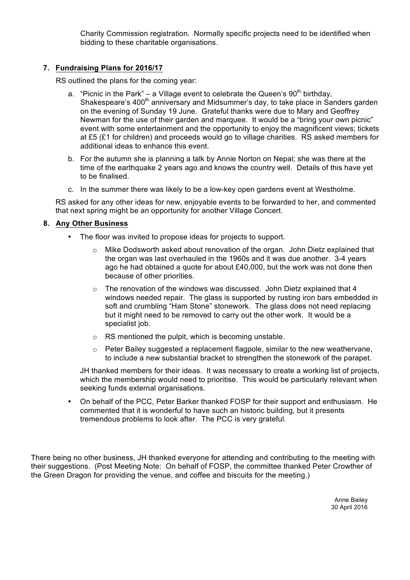Charity Commission registration. Normally specific projects need to be identified when bidding to these charitable organisations.

#### **7. Fundraising Plans for 2016/17**

RS outlined the plans for the coming year:

- a. "Picnic in the Park" a Village event to celebrate the Queen's  $90<sup>th</sup>$  birthday. Shakespeare's 400<sup>th</sup> anniversary and Midsummer's day, to take place in Sanders garden on the evening of Sunday 19 June. Grateful thanks were due to Mary and Geoffrey Newman for the use of their garden and marquee. It would be a "bring your own picnic" event with some entertainment and the opportunity to enjoy the magnificent views; tickets at £5 (£1 for children) and proceeds would go to village charities. RS asked members for additional ideas to enhance this event.
- b. For the autumn she is planning a talk by Annie Norton on Nepal; she was there at the time of the earthquake 2 years ago and knows the country well. Details of this have yet to be finalised.
- c. In the summer there was likely to be a low-key open gardens event at Westholme.

RS asked for any other ideas for new, enjoyable events to be forwarded to her, and commented that next spring might be an opportunity for another Village Concert.

#### **8. Any Other Business**

- The floor was invited to propose ideas for projects to support.
	- $\circ$  Mike Dodsworth asked about renovation of the organ. John Dietz explained that the organ was last overhauled in the 1960s and it was due another. 3-4 years ago he had obtained a quote for about £40,000, but the work was not done then because of other priorities.
	- $\circ$  The renovation of the windows was discussed. John Dietz explained that 4 windows needed repair. The glass is supported by rusting iron bars embedded in soft and crumbling "Ham Stone" stonework. The glass does not need replacing but it might need to be removed to carry out the other work. It would be a specialist job.
	- o RS mentioned the pulpit, which is becoming unstable.
	- $\circ$  Peter Bailey suggested a replacement flagpole, similar to the new weathervane, to include a new substantial bracket to strengthen the stonework of the parapet.

JH thanked members for their ideas. It was necessary to create a working list of projects, which the membership would need to prioritise. This would be particularly relevant when seeking funds external organisations.

• On behalf of the PCC, Peter Barker thanked FOSP for their support and enthusiasm. He commented that it is wonderful to have such an historic building, but it presents tremendous problems to look after. The PCC is very grateful.

There being no other business, JH thanked everyone for attending and contributing to the meeting with their suggestions. (Post Meeting Note: On behalf of FOSP, the committee thanked Peter Crowther of the Green Dragon for providing the venue, and coffee and biscuits for the meeting.)